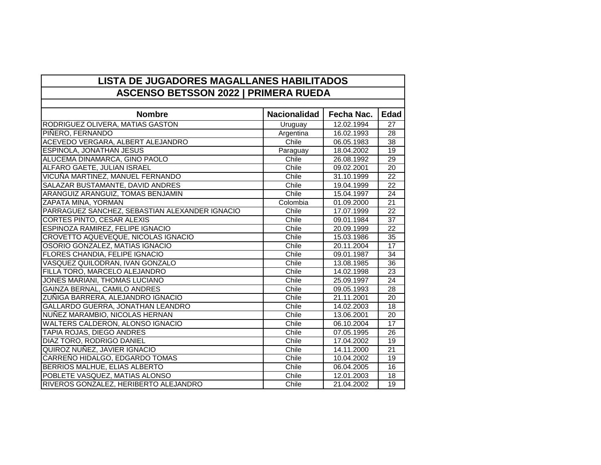| <b>LISTA DE JUGADORES MAGALLANES HABILITADOS</b> |  |
|--------------------------------------------------|--|
| <b>ASCENSO BETSSON 2022   PRIMERA RUEDA</b>      |  |

| <b>Nombre</b>                                  | <b>Nacionalidad</b> | Fecha Nac. | <b>Edad</b>     |  |
|------------------------------------------------|---------------------|------------|-----------------|--|
| RODRIGUEZ OLIVERA, MATIAS GASTON               | Uruguay             | 12.02.1994 | 27              |  |
| PIÑERO, FERNANDO                               | Argentina           | 16.02.1993 | 28              |  |
| ACEVEDO VERGARA, ALBERT ALEJANDRO              | Chile               | 06.05.1983 | 38              |  |
| <b>ESPINOLA, JONATHAN JESUS</b>                | Paraguay            | 18.04.2002 | 19              |  |
| ALUCEMA DINAMARCA, GINO PAOLO                  | Chile               | 26.08.1992 | 29              |  |
| ALFARO GAETE, JULIAN ISRAEL                    | Chile               | 09.02.2001 | 20              |  |
| VICUÑA MARTINEZ, MANUEL FERNANDO               | Chile               | 31.10.1999 | 22              |  |
| SALAZAR BUSTAMANTE, DAVID ANDRES               | Chile               | 19.04.1999 | 22              |  |
| ARANGUIZ ARANGUIZ, TOMAS BENJAMIN              | Chile               | 15.04.1997 | 24              |  |
| ZAPATA MINA, YORMAN                            | Colombia            | 01.09.2000 | 21              |  |
| PARRAGUEZ SANCHEZ, SEBASTIAN ALEXANDER IGNACIO | Chile               | 17.07.1999 | 22              |  |
| <b>CORTES PINTO, CESAR ALEXIS</b>              | Chile               | 09.01.1984 | 37              |  |
| <b>ESPINOZA RAMIREZ, FELIPE IGNACIO</b>        | Chile               | 20.09.1999 | 22              |  |
| CROVETTO AQUEVEQUE, NICOLAS IGNACIO            | Chile               | 15.03.1986 | 35              |  |
| OSORIO GONZALEZ, MATIAS IGNACIO                | Chile               | 20.11.2004 | 17              |  |
| <b>FLORES CHANDIA, FELIPE IGNACIO</b>          | Chile               | 09.01.1987 | 34              |  |
| VASQUEZ QUILODRAN, IVAN GONZALO                | Chile               | 13.08.1985 | 36              |  |
| FILLA TORO, MARCELO ALEJANDRO                  | Chile               | 14.02.1998 | 23              |  |
| JONES MARIANI, THOMAS LUCIANO                  | Chile               | 25.09.1997 | 24              |  |
| <b>GAINZA BERNAL, CAMILO ANDRES</b>            | Chile               | 09.05.1993 | 28              |  |
| ZUÑIGA BARRERA, ALEJANDRO IGNACIO              | Chile               | 21.11.2001 | 20              |  |
| <b>GALLARDO GUERRA, JONATHAN LEANDRO</b>       | Chile               | 14.02.2003 | 18              |  |
| NUÑEZ MARAMBIO, NICOLAS HERNAN                 | Chile               | 13.06.2001 | 20              |  |
| WALTERS CALDERON, ALONSO IGNACIO               | Chile               | 06.10.2004 | 17              |  |
| TAPIA ROJAS, DIEGO ANDRES                      | Chile               | 07.05.1995 | 26              |  |
| DIAZ TORO, RODRIGO DANIEL                      | Chile               | 17.04.2002 | 19              |  |
| QUIROZ NUÑEZ, JAVIER IGNACIO                   | Chile               | 14.11.2000 | $\overline{21}$ |  |
| CARREÑO HIDALGO, EDGARDO TOMAS                 | Chile               | 10.04.2002 | 19              |  |
| <b>BERRIOS MALHUE, ELIAS ALBERTO</b>           | Chile               | 06.04.2005 | 16              |  |
| POBLETE VASQUEZ, MATIAS ALONSO                 | Chile               | 12.01.2003 | 18              |  |
| RIVEROS GONZALEZ, HERIBERTO ALEJANDRO          | Chile               | 21.04.2002 | 19              |  |